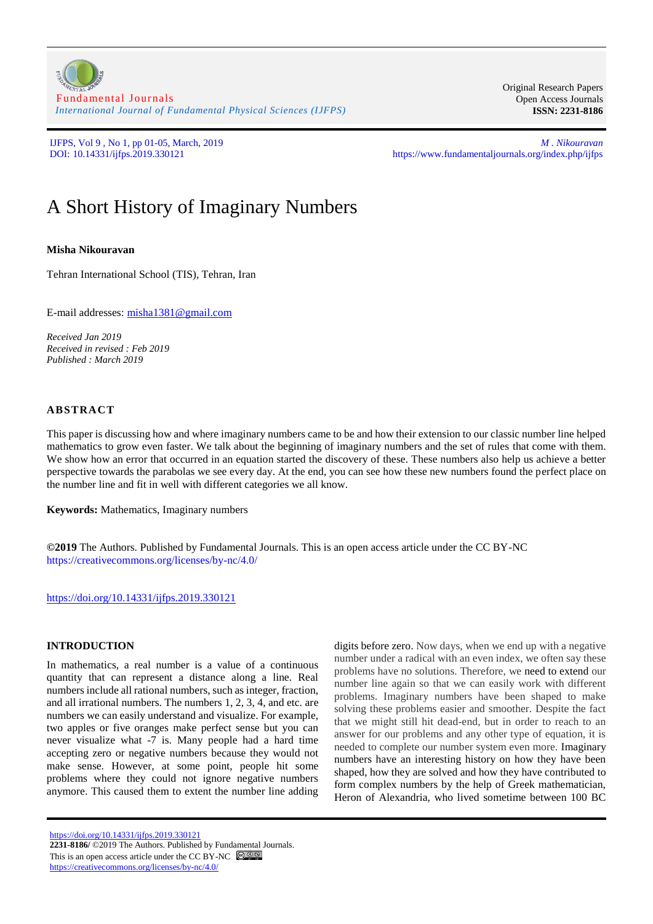[Fundamental Journals](https://www.fundamentaljournals.org/) *[International Journal of Fundamental Physical Sciences \(IJFPS\)](https://www.fundamentaljournals.org/index.php/ijfps)*

Original Research Papers Open Access Journals **ISSN: 2231-8186**

IJFPS, Vol 9 , No 1, pp 01-05, March, 2019 *M . Nikouravan* https://www.fundamentaljournals.org/index.php/ijfps

# A Short History of Imaginary Numbers

**Misha Nikouravan**

Tehran International School (TIS), Tehran, Iran

E-mail addresses: [misha1381@gmail.com](mailto:misha1381@gmail.com)

*Received Jan 2019 Received in revised : Feb 2019 Published : March 2019*

### **ABSTRACT**

This paper is discussing how and where imaginary numbers came to be and how their extension to our classic number line helped mathematics to grow even faster. We talk about the beginning of imaginary numbers and the set of rules that come with them. We show how an error that occurred in an equation started the discovery of these. These numbers also help us achieve a better perspective towards the parabolas we see every day. At the end, you can see how these new numbers found the perfect place on the number line and fit in well with different categories we all know.

**Keywords:** Mathematics, Imaginary numbers

**©2019** The Authors. Published by Fundamental Journals. This is an open access article under the CC BY-NC <https://creativecommons.org/licenses/by-nc/4.0/>

<https://doi.org/10.14331/ijfps.2019.330121>

#### **INTRODUCTION**

In mathematics, a real number is a value of a continuous quantity that can represent a distance along a line. Real numbers include all rational numbers, such as integer, fraction, and all irrational numbers. The numbers 1, 2, 3, 4, and etc. are numbers we can easily understand and visualize. For example, two apples or five oranges make perfect sense but you can never visualize what -7 is. Many people had a hard time accepting zero or negative numbers because they would not make sense. However, at some point, people hit some problems where they could not ignore negative numbers anymore. This caused them to extent the number line adding

https://doi.org/10.14331/ijfps.2019.330121 **2231-8186/** ©2019 The Authors. Published by Fundamental Journals. This is an open access article under the CC BY-NC  $\bigcirc$   $\bigcirc$   $\bigcirc$ <https://creativecommons.org/licenses/by-nc/4.0/>

digits before zero. Now days, when we end up with a negative number under a radical with an even index, we often say these problems have no solutions. Therefore, we need to extend our number line again so that we can easily work with different problems. Imaginary numbers have been shaped to make solving these problems easier and smoother. Despite the fact that we might still hit dead-end, but in order to reach to an answer for our problems and any other type of equation, it is needed to complete our number system even more. Imaginary numbers have an interesting history on how they have been shaped, how they are solved and how they have contributed to form complex numbers by the help of Greek mathematician, Heron of Alexandria, who lived sometime between 100 BC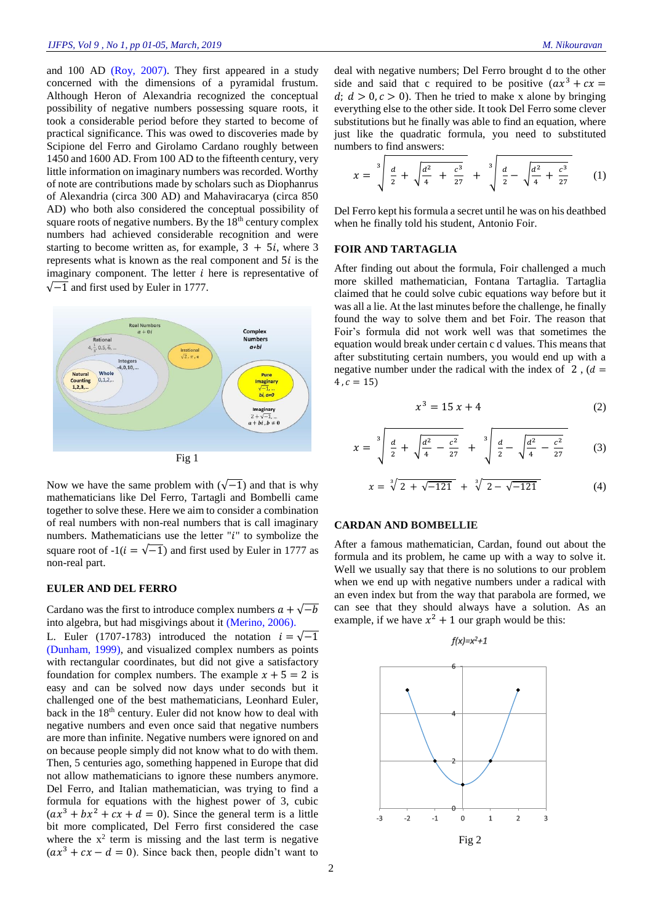and 100 AD [\(Roy, 2007\)](#page-4-0). They first appeared in a study concerned with the dimensions of a pyramidal frustum. Although Heron of Alexandria recognized the conceptual possibility of negative numbers possessing square roots, it took a considerable period before they started to become of practical significance. This was owed to discoveries made by Scipione del Ferro and Girolamo Cardano roughly between 1450 and 1600 AD. From 100 AD to the fifteenth century, very little information on imaginary numbers was recorded. Worthy of note are contributions made by scholars such as Diophanrus of Alexandria (circa 300 AD) and Mahaviracarya (circa 850 AD) who both also considered the conceptual possibility of square roots of negative numbers. By the 18<sup>th</sup> century complex numbers had achieved considerable recognition and were starting to become written as, for example,  $3 + 5i$ , where 3 represents what is known as the real component and  $5i$  is the imaginary component. The letter  $i$  here is representative of  $\sqrt{-1}$  and first used by Euler in 1777.



Now we have the same problem with  $(\sqrt{-1})$  and that is why mathematicians like Del Ferro, Tartagli and Bombelli came together to solve these. Here we aim to consider a combination of real numbers with non-real numbers that is call imaginary numbers. Mathematicians use the letter " $i$ " to symbolize the square root of  $-1(i = \sqrt{-1})$  and first used by Euler in 1777 as non-real part.

#### **EULER AND DEL FERRO**

Cardano was the first to introduce complex numbers  $a + \sqrt{-b}$ into algebra, but had misgivings about it [\(Merino, 2006\)](#page-4-1).

L. Euler (1707-1783) introduced the notation  $i = \sqrt{-1}$ [\(Dunham, 1999\)](#page-4-2), and visualized complex numbers as points with rectangular coordinates, but did not give a satisfactory foundation for complex numbers. The example  $x + 5 = 2$  is easy and can be solved now days under seconds but it challenged one of the best mathematicians, Leonhard Euler, back in the 18<sup>th</sup> century. Euler did not know how to deal with negative numbers and even once said that negative numbers are more than infinite. Negative numbers were ignored on and on because people simply did not know what to do with them. Then, 5 centuries ago, something happened in Europe that did not allow mathematicians to ignore these numbers anymore. Del Ferro, and Italian mathematician, was trying to find a formula for equations with the highest power of 3, cubic  $(ax^{3} + bx^{2} + cx + d = 0)$ . Since the general term is a little bit more complicated, Del Ferro first considered the case where the  $x^2$  term is missing and the last term is negative  $(ax^{3} + cx - d = 0)$ . Since back then, people didn't want to deal with negative numbers; Del Ferro brought d to the other side and said that c required to be positive  $(ax^3 + cx =$  $d; d > 0, c > 0$ ). Then he tried to make x alone by bringing everything else to the other side. It took Del Ferro some clever substitutions but he finally was able to find an equation, where just like the quadratic formula, you need to substituted numbers to find answers:

$$
x = \sqrt[3]{\frac{d}{2} + \sqrt{\frac{d^2}{4} + \frac{c^3}{27}}} + \sqrt[3]{\frac{d}{2} - \sqrt{\frac{d^2}{4} + \frac{c^3}{27}}} \qquad (1)
$$

Del Ferro kept his formula a secret until he was on his deathbed when he finally told his student, Antonio Foir.

## **FOIR AND TARTAGLIA**

After finding out about the formula, Foir challenged a much more skilled mathematician, Fontana Tartaglia. Tartaglia claimed that he could solve cubic equations way before but it was all a lie. At the last minutes before the challenge, he finally found the way to solve them and bet Foir. The reason that Foir's formula did not work well was that sometimes the equation would break under certain c d values. This means that after substituting certain numbers, you would end up with a negative number under the radical with the index of  $2$ ,  $(d =$  $4, c = 15$ 

$$
x^3 = 15x + 4 \tag{2}
$$

$$
x = \sqrt[3]{\frac{d}{2} + \sqrt{\frac{d^2}{4} - \frac{c^2}{27}}} + \sqrt[3]{\frac{d}{2} - \sqrt{\frac{d^2}{4} - \frac{c^2}{27}}} \tag{3}
$$

$$
x = \sqrt[3]{2 + \sqrt{-121}} + \sqrt[3]{2 - \sqrt{-121}}
$$
 (4)

### **CARDAN AND BOMBELLIE**

After a famous mathematician, Cardan, found out about the formula and its problem, he came up with a way to solve it. Well we usually say that there is no solutions to our problem when we end up with negative numbers under a radical with an even index but from the way that parabola are formed, we can see that they should always have a solution. As an example, if we have  $x^2 + 1$  our graph would be this:

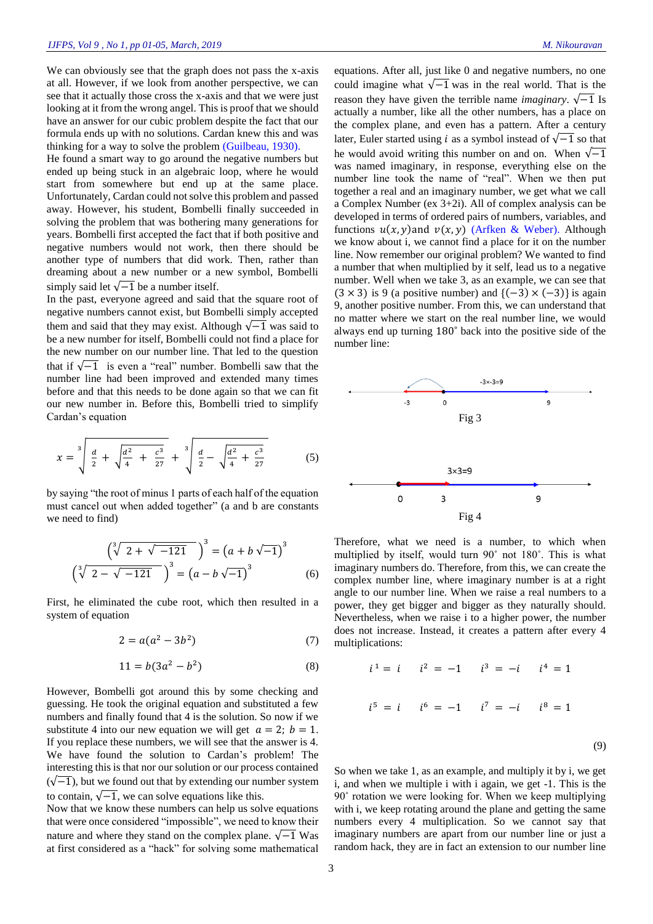We can obviously see that the graph does not pass the x-axis at all. However, if we look from another perspective, we can see that it actually those cross the x-axis and that we were just looking at it from the wrong angel. This is proof that we should have an answer for our cubic problem despite the fact that our formula ends up with no solutions. Cardan knew this and was thinking for a way to solve the problem [\(Guilbeau, 1930\)](#page-4-3).

He found a smart way to go around the negative numbers but ended up being stuck in an algebraic loop, where he would start from somewhere but end up at the same place. Unfortunately, Cardan could not solve this problem and passed away. However, his student, Bombelli finally succeeded in solving the problem that was bothering many generations for years. Bombelli first accepted the fact that if both positive and negative numbers would not work, then there should be another type of numbers that did work. Then, rather than dreaming about a new number or a new symbol, Bombelli simply said let  $\sqrt{-1}$  be a number itself.

In the past, everyone agreed and said that the square root of negative numbers cannot exist, but Bombelli simply accepted them and said that they may exist. Although  $\sqrt{-1}$  was said to be a new number for itself, Bombelli could not find a place for the new number on our number line. That led to the question that if  $\sqrt{-1}$  is even a "real" number. Bombelli saw that the number line had been improved and extended many times before and that this needs to be done again so that we can fit our new number in. Before this, Bombelli tried to simplify Cardan's equation

$$
x = \sqrt[3]{\frac{d}{2} + \sqrt{\frac{d^2}{4} + \frac{c^3}{27}}} + \sqrt[3]{\frac{d}{2} - \sqrt{\frac{d^2}{4} + \frac{c^3}{27}}}
$$
(5)

by saying "the root of minus 1 parts of each half of the equation must cancel out when added together" (a and b are constants we need to find)

$$
\left(\sqrt[3]{2+\sqrt{-121}}\right)^3 = \left(a+b\sqrt{-1}\right)^3
$$

$$
\left(\sqrt[3]{2-\sqrt{-121}}\right)^3 = \left(a-b\sqrt{-1}\right)^3\tag{6}
$$

First, he eliminated the cube root, which then resulted in a system of equation

$$
2 = a(a^2 - 3b^2)
$$
 (7)

$$
11 = b(3a^2 - b^2) \tag{8}
$$

However, Bombelli got around this by some checking and guessing. He took the original equation and substituted a few numbers and finally found that 4 is the solution. So now if we substitute 4 into our new equation we will get  $a = 2$ ;  $b = 1$ . If you replace these numbers, we will see that the answer is 4. We have found the solution to Cardan's problem! The interesting this is that nor our solution or our process contained  $(\sqrt{-1})$ , but we found out that by extending our number system to contain,  $\sqrt{-1}$ , we can solve equations like this.

Now that we know these numbers can help us solve equations that were once considered "impossible", we need to know their nature and where they stand on the complex plane.  $\sqrt{-1}$  Was at first considered as a "hack" for solving some mathematical

equations. After all, just like 0 and negative numbers, no one could imagine what  $\sqrt{-1}$  was in the real world. That is the reason they have given the terrible name *imaginary*.  $\sqrt{-1}$  Is actually a number, like all the other numbers, has a place on the complex plane, and even has a pattern. After a century later, Euler started using *i* as a symbol instead of  $\sqrt{-1}$  so that he would avoid writing this number on and on. When  $\sqrt{-1}$ was named imaginary, in response, everything else on the number line took the name of "real". When we then put together a real and an imaginary number, we get what we call a Complex Number (ex 3+2i). All of complex analysis can be developed in terms of ordered pairs of numbers, variables, and functions  $u(x, y)$  and  $v(x, y)$  [\(Arfken & Weber\)](#page-4-4). Although we know about i, we cannot find a place for it on the number line. Now remember our original problem? We wanted to find a number that when multiplied by it self, lead us to a negative number. Well when we take 3, as an example, we can see that  $(3 \times 3)$  is 9 (a positive number) and  ${(-3) \times (-3)}$  is again 9, another positive number. From this, we can understand that no matter where we start on the real number line, we would always end up turning 180˚ back into the positive side of the number line:



Therefore, what we need is a number, to which when multiplied by itself, would turn 90˚ not 180˚. This is what imaginary numbers do. Therefore, from this, we can create the complex number line, where imaginary number is at a right angle to our number line. When we raise a real numbers to a power, they get bigger and bigger as they naturally should. Nevertheless, when we raise i to a higher power, the number does not increase. Instead, it creates a pattern after every 4 multiplications:

$$
i^1 = i
$$
  $i^2 = -1$   $i^3 = -i$   $i^4 = 1$   
 $i^5 = i$   $i^6 = -1$   $i^7 = -i$   $i^8 = 1$  (9)

So when we take 1, as an example, and multiply it by i, we get i, and when we multiple i with i again, we get -1. This is the 90˚ rotation we were looking for. When we keep multiplying with i, we keep rotating around the plane and getting the same numbers every 4 multiplication. So we cannot say that imaginary numbers are apart from our number line or just a random hack, they are in fact an extension to our number line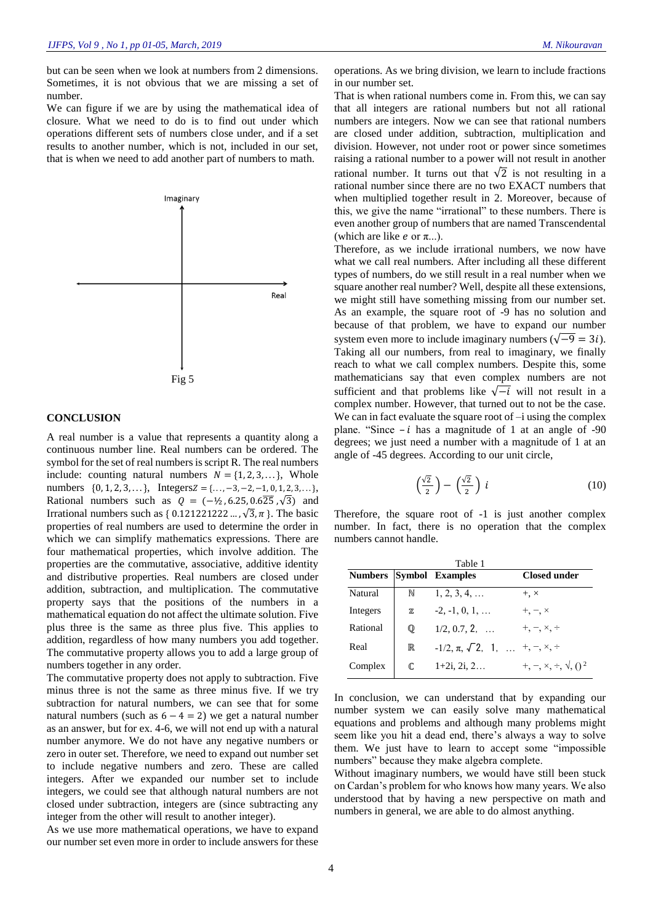but can be seen when we look at numbers from 2 dimensions. Sometimes, it is not obvious that we are missing a set of number.

We can figure if we are by using the mathematical idea of closure. What we need to do is to find out under which operations different sets of numbers close under, and if a set results to another number, which is not, included in our set, that is when we need to add another part of numbers to math.



## **CONCLUSION**

A real number is a value that represents a quantity along a continuous number line. Real numbers can be ordered. The symbol for the set of real numbers is script R. The real numbers include: counting natural numbers  $N = \{1, 2, 3, ...\}$ , Whole numbers  $\{0, 1, 2, 3, \ldots\}$ , Integers  $Z = \{\ldots, -3, -2, -1, 0, 1, 2, 3, \ldots\}$ , Rational numbers such as  $Q = (-\frac{1}{2}, 6.25, 0.6\overline{25}, \sqrt{3})$  and Irrational numbers such as {  $0.121221222...$ ,  $\sqrt{3}$ ,  $\pi$  }. The basic properties of real numbers are used to determine the order in which we can simplify mathematics expressions. There are four mathematical properties, which involve addition. The properties are the commutative, associative, additive identity and distributive properties. Real numbers are closed under addition, subtraction, and multiplication. The commutative property says that the positions of the numbers in a mathematical equation do not affect the ultimate solution. Five plus three is the same as three plus five. This applies to addition, regardless of how many numbers you add together. The commutative property allows you to add a large group of numbers together in any order.

The commutative property does not apply to subtraction. Five minus three is not the same as three minus five. If we try subtraction for natural numbers, we can see that for some natural numbers (such as  $6 - 4 = 2$ ) we get a natural number as an answer, but for ex. 4-6, we will not end up with a natural number anymore. We do not have any negative numbers or zero in outer set. Therefore, we need to expand out number set to include negative numbers and zero. These are called integers. After we expanded our number set to include integers, we could see that although natural numbers are not closed under subtraction, integers are (since subtracting any integer from the other will result to another integer).

As we use more mathematical operations, we have to expand our number set even more in order to include answers for these

operations. As we bring division, we learn to include fractions in our number set.

That is when rational numbers come in. From this, we can say that all integers are rational numbers but not all rational numbers are integers. Now we can see that rational numbers are closed under addition, subtraction, multiplication and division. However, not under root or power since sometimes raising a rational number to a power will not result in another rational number. It turns out that  $\sqrt{2}$  is not resulting in a rational number since there are no two EXACT numbers that when multiplied together result in 2. Moreover, because of this, we give the name "irrational" to these numbers. There is even another group of numbers that are named Transcendental (which are like  $e$  or  $\pi$ ...).

Therefore, as we include irrational numbers, we now have what we call real numbers. After including all these different types of numbers, do we still result in a real number when we square another real number? Well, despite all these extensions, we might still have something missing from our number set. As an example, the square root of -9 has no solution and because of that problem, we have to expand our number system even more to include imaginary numbers ( $\sqrt{-9} = 3i$ ). Taking all our numbers, from real to imaginary, we finally reach to what we call complex numbers. Despite this, some mathematicians say that even complex numbers are not sufficient and that problems like  $\sqrt{-i}$  will not result in a complex number. However, that turned out to not be the case. We can in fact evaluate the square root of  $-i$  using the complex plane. "Since  $-i$  has a magnitude of 1 at an angle of  $-90$ degrees; we just need a number with a magnitude of 1 at an angle of -45 degrees. According to our unit circle,

$$
\left(\frac{\sqrt{2}}{2}\right) - \left(\frac{\sqrt{2}}{2}\right)i\tag{10}
$$

Therefore, the square root of -1 is just another complex number. In fact, there is no operation that the complex numbers cannot handle.

| Table 1        |              |                                                      |                                     |
|----------------|--------------|------------------------------------------------------|-------------------------------------|
| <b>Numbers</b> |              | <b>Symbol Examples</b>                               | Closed under                        |
| Natural        | N            | $1, 2, 3, 4, \ldots$                                 | $+$ , $\times$                      |
| Integers       | $\mathbb Z$  | $-2, -1, 0, 1, \ldots$                               | $+,-, \times$                       |
| Rational       | $\mathbb{Q}$ | $1/2, 0.7, 2, \ldots$                                | $+,-, \times, \div$                 |
| Real           | $\mathbb R$  | $-1/2, \pi, \sqrt{2}, 1, \ldots, +, -, \times, \div$ |                                     |
| Complex        | $\mathbb C$  | $1+2i, 2i, 2$                                        | $+, \neg, \times, \div, \sqrt{0^2}$ |

In conclusion, we can understand that by expanding our number system we can easily solve many mathematical equations and problems and although many problems might seem like you hit a dead end, there's always a way to solve them. We just have to learn to accept some "impossible numbers" because they make algebra complete.

Without imaginary numbers, we would have still been stuck on Cardan's problem for who knows how many years. We also understood that by having a new perspective on math and numbers in general, we are able to do almost anything.